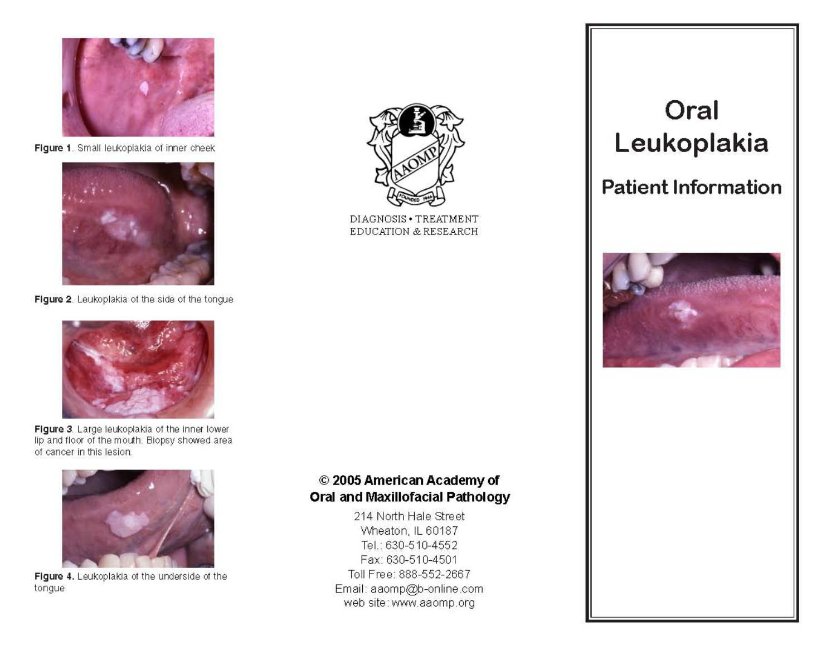

Figure 1. Small leukoplakia of inner cheek



Figure 2. Leukoplakia of the side of the tongue



Figure 3. Large leukoplakia of the inner lower lip and floor of the mouth. Biopsy showed area of cancer in this lesion.



Figure 4. Leukoplakia of the underside of the tongue



DIAGNOSIS . TREATMENT EDUCATION & RESEARCH

# Oral Leukoplakia

# **Patient Information**



# © 2005 American Academy of **Oral and Maxillofacial Pathology**

214 North Hale Street Wheaton, IL 60187 Tel.: 630-510-4552 Fax: 630-510-4501 Toll Free: 888-552-2667 Email: aaomp@b-online.com web site: www.aaomp.org